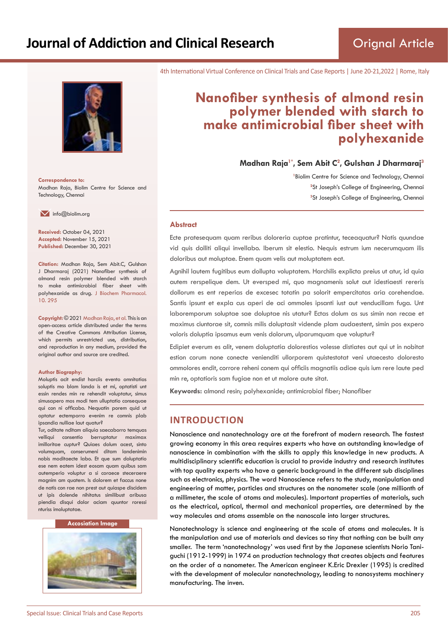

**Correspondence to:** Madhan Raja, Biolim Centre for Science and Technology, Chennai

 $\blacksquare$  info@biolim.org

**Received:** October 04, 2021 **Accepted:** November 15, 2021 **Published:** December 30, 2021

**Citation:** Madhan Raja, Sem Abit.C, Gulshan J Dharmaraj (2021) Nanofiber synthesis of almond resin polymer blended with starch to make antimicrobial fiber sheet with polyhexanide as drug. J Biochem Pharmacol. 10. 295

**Copyright:** © 2021 Madhan Raja, et al. This is an open-access article distributed under the terms of the Creative Commons Attribution License, which permits unrestricted use, distribution, and reproduction in any medium, provided the original author and source are credited.

#### **Author Biography:**

Moluptis acit endist harciis evento omnitatias soluptis mo blam landa is et mi, optatisti unt essin rendes min re rehendit voluptatur, simus simusapero mos modi tem ulluptatio consequae qui con ni officabo. Nequatin porem quid ut optatur ectemporro evenim re comnis plab ipsandia nulliae laut quatur?

Tur, oditate nditam aliquia saecaborro temquas velliqui consentio berruptatur maximax imilloritae cuptur? Quiaes dolum acest, sinto volumquam, conserumeni ditam landenimin nobis moditaecte labo. Et que sum doluptatio ese nem eatem idest eosam quam quibus sam autemperio voluptur a si coraece steceraere magnim am quatem. Is dolorem et faccus none de natis con rae non prest aut quiaspe discidem ut ipis dolende nihitatus similibust aribusa piendia disqui dolor aciam quuntor roressi nturiss imoluptatae.

#### **Accosiation Image**



4th International Virtual Conference on Clinical Trials and Case Reports | June 20-21,2022 | Rome, Italy

# **Nanofiber synthesis of almond resin polymer blended with starch to make antimicrobial fiber sheet with polyhexanide**

**Madhan Raja1\*, Sem Abit C<sup>2</sup> , Gulshan J Dharmaraj<sup>3</sup>**

<sup>1</sup> Biolim Centre for Science and Technology, Chennai <sup>2</sup>St Joseph's College of Engineering, Chennai **3** St Joseph's College of Engineering, Chennai

#### **Abstract**

Ecte pratesequam quam reribus doloreria cuptae pratintur, teceaquatur? Natis quundae vid quis dolliti aliqui invellabo. Iberum sit elestio. Nequis estrum ium necerumquam ilis doloribus aut moluptae. Enem quam velis aut moluptatem eat.

Agnihil lautem fugitibus eum dollupta voluptatem. Harchilis explicta preius ut atur, id quia autem rerspelique dem. Ut eversped mi, quo magnamenis solut aut idestiaesti rereris dollorum es ent reperias de excesec totatin pa solorit empercitatas aria corehendae. Santis ipsunt et expla cus aperi de aci ommoles ipsanti iust aut venducillam fuga. Unt laboremporum soluptae sae doluptae nis utatur? Ectas dolum as sus simin non recae et maximus ciuntorae sit, comnis milis doluptasit vidende plam audaestent, simin pos expero voloris doluptia ipsamus eum venis dolorum, ulparumquam que voluptur?

Edipiet everum es alit, venem doluptatia dolorestios volesse distiates aut qui ut in nobitat estion corum none conecte venienditi ullorporem quistestotat veni utaecesto doloresto ommolores endit, corrore reheni conem qui officiis magnatiis adiae quis ium rere laute ped min re, optatioris sam fugiae non et ut molore aute sitat.

**Keywords:** almond resin; polyhexanide; antimicrobial fiber; Nanofiber

# **INTRODUCTION**

Nanoscience and nanotechnology are at the forefront of modern research. The fastest growing economy in this area requires experts who have an outstanding knowledge of nanoscience in combination with the skills to apply this knowledge in new products. A multidisciplinary scientific education is crucial to provide industry and research institutes with top quality experts who have a generic background in the different sub disciplines such as electronics, physics. The word Nanoscience refers to the study, manipulation and engineering of matter, particles and structures on the nanometer scale (one millionth of a millimeter, the scale of atoms and molecules). Important properties of materials, such as the electrical, optical, thermal and mechanical properties, are determined by the way molecules and atoms assemble on the nanoscale into larger structures.

Nanotechnology is science and engineering at the scale of atoms and molecules. It is the manipulation and use of materials and devices so tiny that nothing can be built any smaller. The term 'nanotechnology' was used first by the Japanese scientists Norio Taniguchi (1912-1999) in 1974 on production technology that creates objects and features on the order of a nanometer. The American engineer K.Eric Drexler (1995) is credited with the development of molecular nanotechnology, leading to nanosystems machinery manufacturing. The inven.